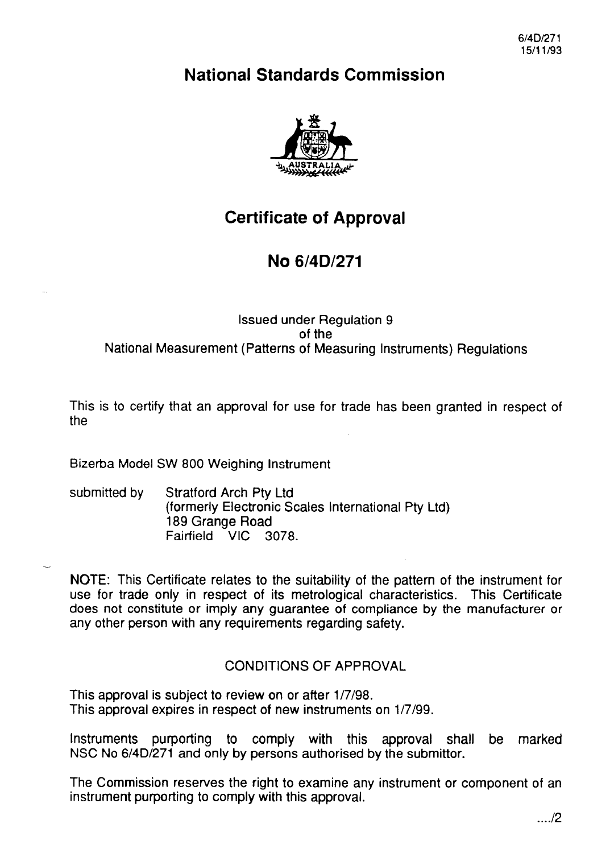6/4D/271 15/11/93

# **National Standards Commission**



# **Certificate of Approval**

# **No 6/4D/271**

#### Issued under Regulation 9 of the National Measurement (Patterns of Measuring Instruments) Regulations

This is to certify that an approval for use for trade has been granted in respect of the

Bizerba Model SW 800 Weighing Instrument

-

submitted by Stratford Arch Pty Ltd (formerly Electronic Scales International Pty Ltd) 189 Grange Road Fairfield VIC 3078.

NOTE: This Certificate relates to the suitability of the pattern of the instrument for use for trade only in respect of its metrological characteristics. This Certificate does not constitute or imply any guarantee of compliance by the manufacturer or any other person with any requirements regarding safety.

## CONDlTlONS OF APPROVAL

This approval is subject to review on or after 1/7/98. This approval expires in respect of new instruments on 1/7/99.

Instruments purporting to comply with this approval shall be marked NSC No 6/4D/271 and only by persons authorised by the Submittor.

The Commission reserves the right to examine any instrument or component of an instrument purporting to comply with this approval.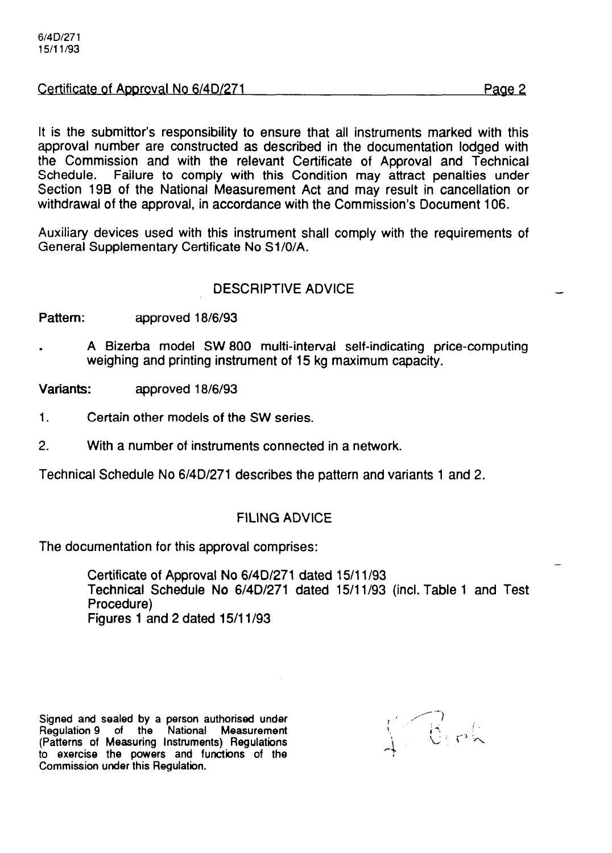#### Certificate of Approval No 6/4D/271 Page 2

It is the submittor's responsibility to ensure that all instruments marked with this approval number are constructed as described in the documentation lodged with the Commission and with the relevant Certificate of Approval and Technical Schedule. Failure to comply with this Condition may attract penalties under Section 19B of the National Measurement Act and may result in cancellation or withdrawal of the approval, in accordance with the Commission's Document 106.

Auxiliary devices used with this instrument shall comply with the requirements of General Supplementary Certificate No Sl/O/A.

#### DESCRIPTIVE ADVICE

Pattern: approved 18/6/93

. A Bizerba model SW 800 multi-interval self-indicating price-computing weighing and printing instrument of 15 kg maximum capacity.

Variants: approved 18/6/93

- 1. Certain other models of the SW series.
- 2. With a number of instruments connected in a network.

Technical Schedule No 6/4D/271 describes the pattern and variants 1 and 2.

#### FILING ADVICE

The documentation for this approval comprises:

Certificate of Approval No 6/4D/271 dated 15/11/93 Technical Schedule No 6/4D/271 dated 15/11/93 (incl. Table 1 and Test Procedure) Figures 1 and 2 dated  $15/11/93$ 

Signed and sealed by a person authorised under<br>Regulation 9 of the National Measurement Regulation 9 of the National (Patterns of Measuring Instruments) Regulations to exercise the powers and functions of the Commission under this Regulation.

 $\sqrt{\theta_{\rm r}}$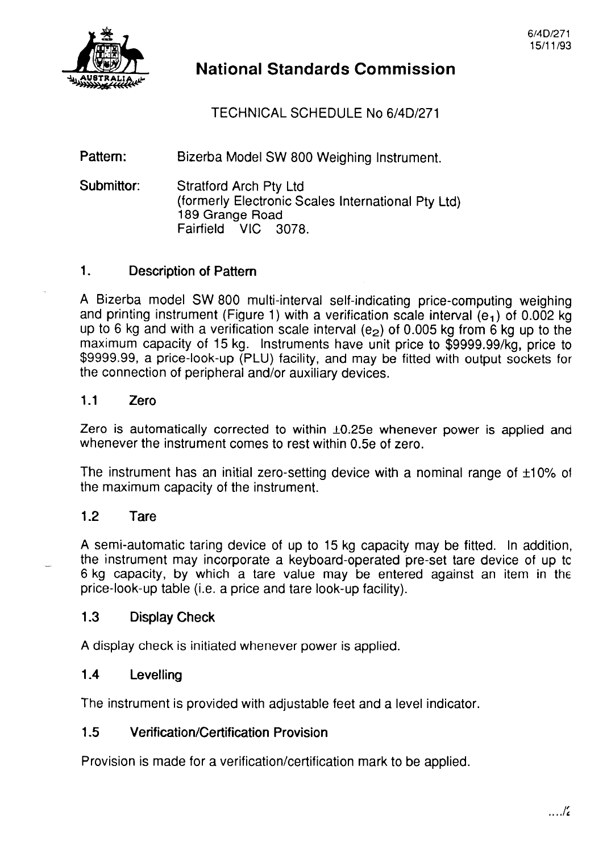

# **National Standards Commission**

TECHNICAL SCHEDULE No 6/4D/271

Pattern: Bizerba Model SW 800 Weighing Instrument.

Submittor: Stratford Arch Pty Ltd (formerly Electronic Scales International Pty Ltd) 189 Grange Road<br>Fairfield VIC 3078 Fairfield

### 1. Description of Pattern

A Bizerba model SW 800 multi-interval self-indicating price-computing weighing and printing instrument (Figure 1) with a verification scale interval  $(e_1)$  of 0.002 kg up to 6 kg and with a verification scale interval ( $e_2$ ) of 0.005 kg from 6 kg up to the maximum capacity of 15 kg. Instruments have unit price to \$9999.99/kg, price to \$9999.99, a price-look-up (PLU) facility, and may be fitted with output sockets for the connection of peripheral and/or auxiliary devices.

#### 1.1 Zero

Zero is automatically corrected to within  $\pm 0.25e$  whenever power is applied and whenever the instrument comes to rest within 0.5e of zero.

The instrument has an initial zero-setting device with a nominal range of  $\pm 10\%$  of the maximum capacity of the instrument.

### 1.2 Tare

--

A semi-automatic taring device of up to 15 kg capacity may be fitted. In addition, the instrument may incorporate a keyboard-operated pre-set tare device of up tc 6 kg capacity, by which a tare value may be entered against an item in the price-look-up table (i.e. a price and tare look-up facility).

### 1.3 Display Check

A display check is initiated whenever power is applied.

### 1.4 Levelling

The instrument is provided with adjustable feet and a level indicator.

### 1.5 Verification/Certification Provision

Provision is made for a verification/certification mark to be applied.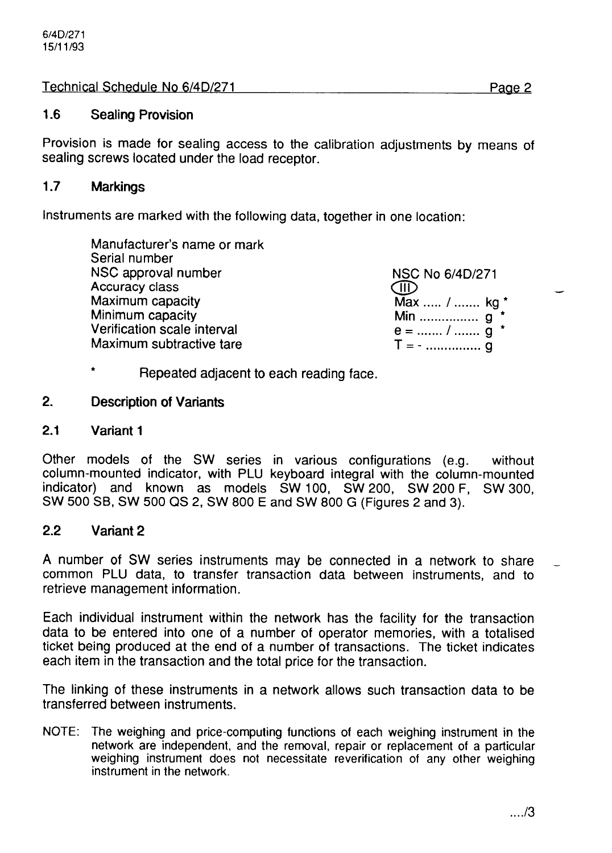Technical Schedule No 6/4D/271 Page 2

### 1.6 Sealing Provision

Provision is made for sealing access to the calibration adjustments by means of sealing screws located under the load receptor.

#### 1.7 Markings

Instruments are marked with the following data, together in one location:

Manufacturer's name or mark Serial number NSC approval number Accuracy class Maximum capacity Minimum capacity Verification scale interval Maximum subtractive tare

NSC No 6/4D/271 (III) Max ..... / ....... kg \* Min .................. **q**  $e =$  ....... / .......  $q^*$  $T = -$  . . . . . . . . . . . . . . . q

- Repeated adjacent to each reading face.
- 2. Description of Variants
- 2.1 Variant 1

Other models of the SW series in various configurations (e.g. without column-mounted indicator, with PLU keyboard integral with the column-mounted indicator) and known as models SW 100, SW 200, SW 200 F, SW 300, SW 500 SB, SW 500 QS 2, SW 800 E and SW 800 G (Figures 2 and 3).

### 2.2 Variant 2

A number of SW series instruments may be connected in a network to share common PLU data, to transfer transaction data between instruments, and to retrieve management information.

Each individual instrument within the network has the facility for the transaction data to be entered into one of a number of operator memories, with a totalised ticket being produced at the end of a number of transactions. The ticket indicates each item in the transaction and the total price for the transaction.

The linking of these instruments in a network allows such transaction data to be transferred between instruments.

NOTE: The weighing and price-computing functions of each weighing instrument in the network are independent, and the removal, repair or replacement of a particular weighing instrument does not necessitate reverification of any other weighing instrument in the network.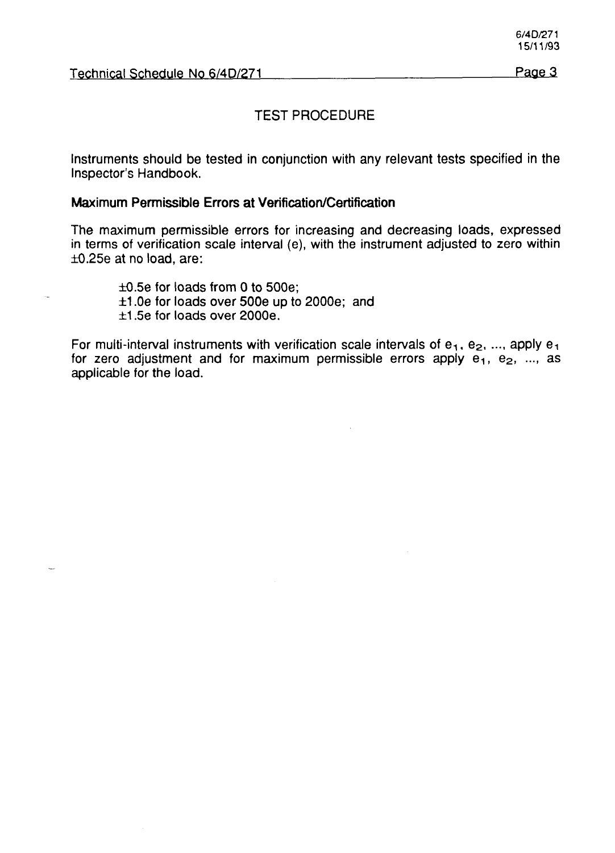#### TEST PROCEDURE

Instruments should be tested in conjunction with any relevant tests specified in the Inspector's Handbook.

#### Maximum **Permissible Errors at Verification/Certification**

The maximum permissible errors for increasing and decreasing loads, expressed in terms of verification scale interval (e), with the instrument adjusted to zero within  $\pm 0.25e$  at no load, are:

 $\pm 0.5e$  for loads from 0 to 500e; fl .Oe for loads over 500e up to 2000e; and  $\pm$ 1.5e for loads over 2000e.

For multi-interval instruments with verification scale intervals of  $e_1$ ,  $e_2$ , ..., apply  $e_1$ for zero adjustment and for maximum permissible errors apply  $e_1$ ,  $e_2$ , ..., as applicable for the load.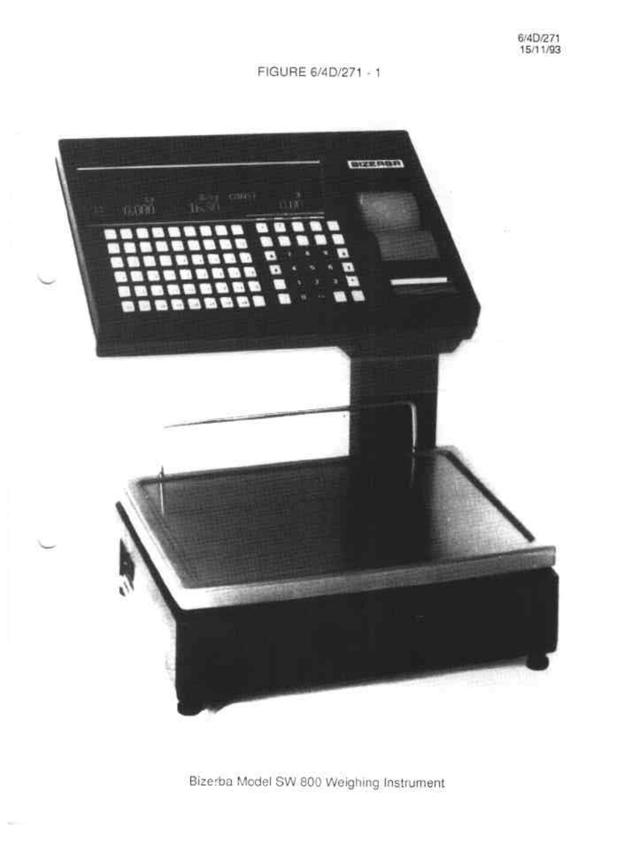FIGURE 6/4D/271 - 1



Bizerba Model SW 800 Weighing Instrument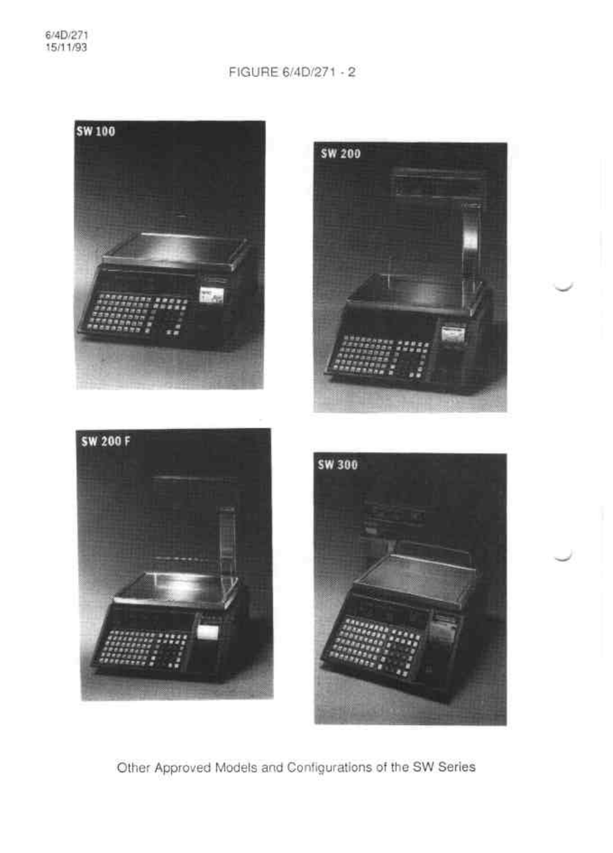# FIGURE 6/4D/271 - 2



Other Approved Models and Configurations of the SW Series